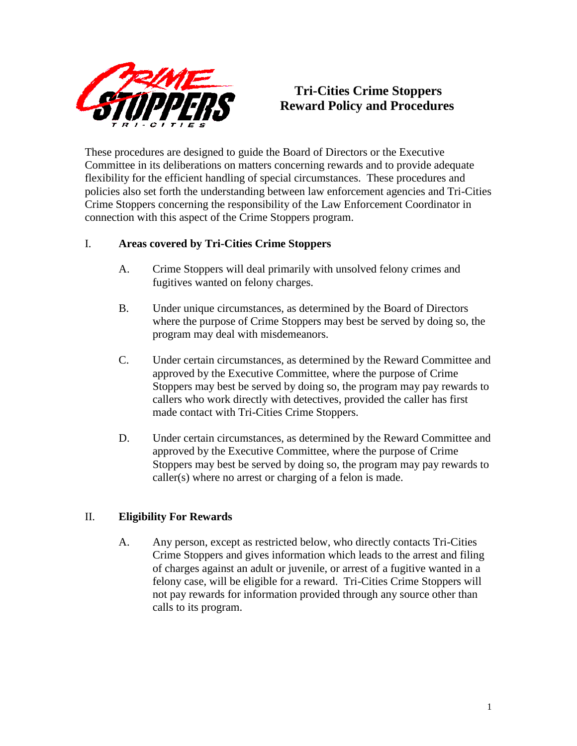

# **Tri-Cities Crime Stoppers Reward Policy and Procedures**

These procedures are designed to guide the Board of Directors or the Executive Committee in its deliberations on matters concerning rewards and to provide adequate flexibility for the efficient handling of special circumstances. These procedures and policies also set forth the understanding between law enforcement agencies and Tri-Cities Crime Stoppers concerning the responsibility of the Law Enforcement Coordinator in connection with this aspect of the Crime Stoppers program.

## I. **Areas covered by Tri-Cities Crime Stoppers**

- A. Crime Stoppers will deal primarily with unsolved felony crimes and fugitives wanted on felony charges.
- B. Under unique circumstances, as determined by the Board of Directors where the purpose of Crime Stoppers may best be served by doing so, the program may deal with misdemeanors.
- C. Under certain circumstances, as determined by the Reward Committee and approved by the Executive Committee, where the purpose of Crime Stoppers may best be served by doing so, the program may pay rewards to callers who work directly with detectives, provided the caller has first made contact with Tri-Cities Crime Stoppers.
- D. Under certain circumstances, as determined by the Reward Committee and approved by the Executive Committee, where the purpose of Crime Stoppers may best be served by doing so, the program may pay rewards to caller(s) where no arrest or charging of a felon is made.

## II. **Eligibility For Rewards**

A. Any person, except as restricted below, who directly contacts Tri-Cities Crime Stoppers and gives information which leads to the arrest and filing of charges against an adult or juvenile, or arrest of a fugitive wanted in a felony case, will be eligible for a reward. Tri-Cities Crime Stoppers will not pay rewards for information provided through any source other than calls to its program.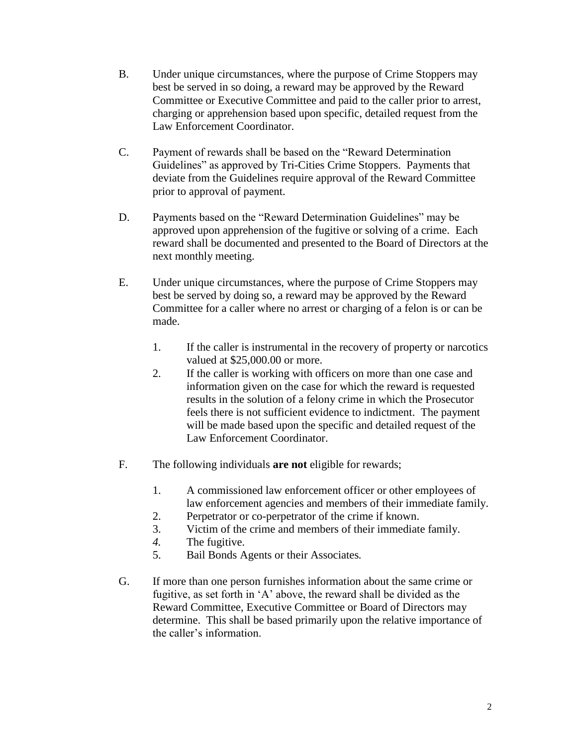- B. Under unique circumstances, where the purpose of Crime Stoppers may best be served in so doing, a reward may be approved by the Reward Committee or Executive Committee and paid to the caller prior to arrest, charging or apprehension based upon specific, detailed request from the Law Enforcement Coordinator.
- C. Payment of rewards shall be based on the "Reward Determination Guidelines" as approved by Tri-Cities Crime Stoppers. Payments that deviate from the Guidelines require approval of the Reward Committee prior to approval of payment.
- D. Payments based on the "Reward Determination Guidelines" may be approved upon apprehension of the fugitive or solving of a crime. Each reward shall be documented and presented to the Board of Directors at the next monthly meeting.
- E. Under unique circumstances, where the purpose of Crime Stoppers may best be served by doing so, a reward may be approved by the Reward Committee for a caller where no arrest or charging of a felon is or can be made.
	- 1. If the caller is instrumental in the recovery of property or narcotics valued at \$25,000.00 or more.
	- 2. If the caller is working with officers on more than one case and information given on the case for which the reward is requested results in the solution of a felony crime in which the Prosecutor feels there is not sufficient evidence to indictment. The payment will be made based upon the specific and detailed request of the Law Enforcement Coordinator.
- F. The following individuals **are not** eligible for rewards;
	- 1. A commissioned law enforcement officer or other employees of law enforcement agencies and members of their immediate family.
	- 2. Perpetrator or co-perpetrator of the crime if known.
	- 3. Victim of the crime and members of their immediate family.
	- *4.* The fugitive.
	- 5. Bail Bonds Agents or their Associates*.*
- G. If more than one person furnishes information about the same crime or fugitive, as set forth in 'A' above, the reward shall be divided as the Reward Committee, Executive Committee or Board of Directors may determine. This shall be based primarily upon the relative importance of the caller's information.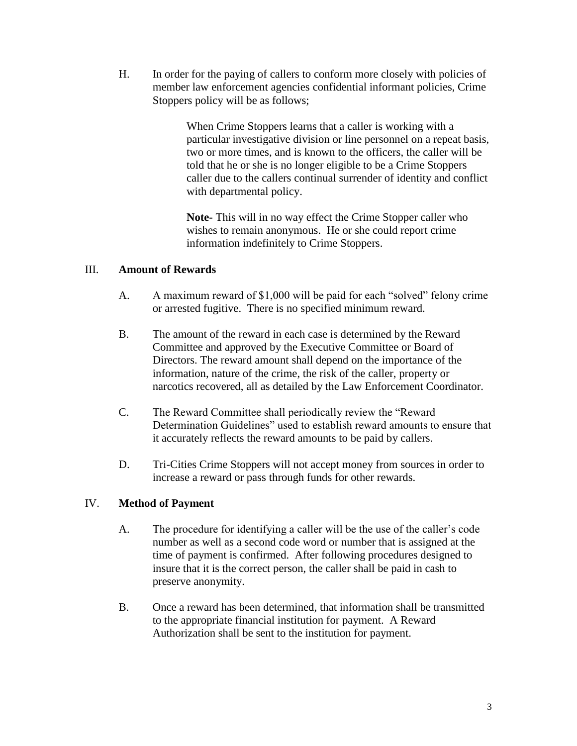H. In order for the paying of callers to conform more closely with policies of member law enforcement agencies confidential informant policies, Crime Stoppers policy will be as follows;

> When Crime Stoppers learns that a caller is working with a particular investigative division or line personnel on a repeat basis, two or more times, and is known to the officers, the caller will be told that he or she is no longer eligible to be a Crime Stoppers caller due to the callers continual surrender of identity and conflict with departmental policy.

**Note-** This will in no way effect the Crime Stopper caller who wishes to remain anonymous. He or she could report crime information indefinitely to Crime Stoppers.

### III. **Amount of Rewards**

- A. A maximum reward of \$1,000 will be paid for each "solved" felony crime or arrested fugitive. There is no specified minimum reward.
- B. The amount of the reward in each case is determined by the Reward Committee and approved by the Executive Committee or Board of Directors. The reward amount shall depend on the importance of the information, nature of the crime, the risk of the caller, property or narcotics recovered, all as detailed by the Law Enforcement Coordinator.
- C. The Reward Committee shall periodically review the "Reward Determination Guidelines" used to establish reward amounts to ensure that it accurately reflects the reward amounts to be paid by callers.
- D. Tri-Cities Crime Stoppers will not accept money from sources in order to increase a reward or pass through funds for other rewards.

### IV. **Method of Payment**

- A. The procedure for identifying a caller will be the use of the caller's code number as well as a second code word or number that is assigned at the time of payment is confirmed. After following procedures designed to insure that it is the correct person, the caller shall be paid in cash to preserve anonymity.
- B. Once a reward has been determined, that information shall be transmitted to the appropriate financial institution for payment. A Reward Authorization shall be sent to the institution for payment.